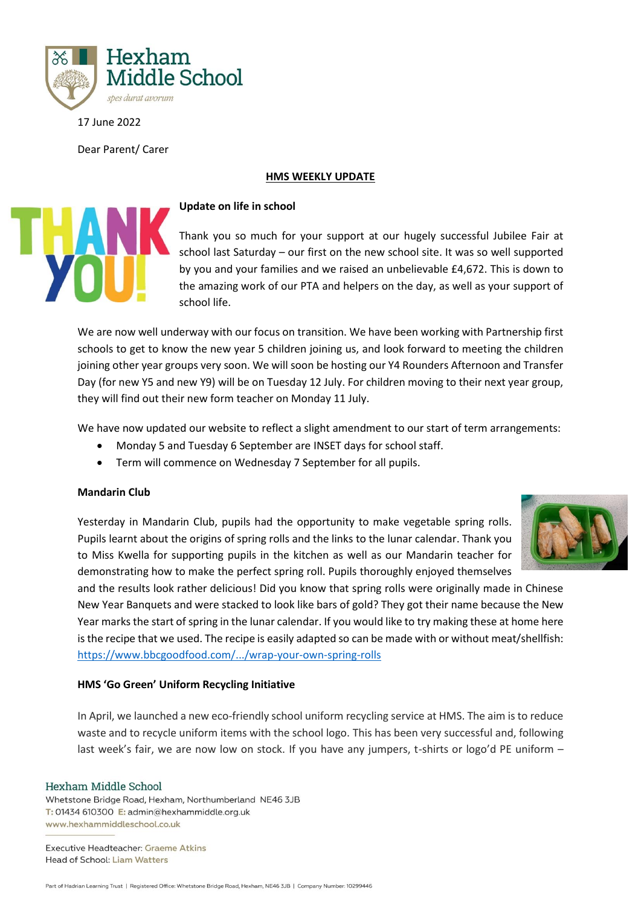

17 June 2022

Dear Parent/ Carer

## **HMS WEEKLY UPDATE**



# **Update on life in school**

Thank you so much for your support at our hugely successful Jubilee Fair at school last Saturday – our first on the new school site. It was so well supported by you and your families and we raised an unbelievable £4,672. This is down to the amazing work of our PTA and helpers on the day, as well as your support of school life.

We are now well underway with our focus on transition. We have been working with Partnership first schools to get to know the new year 5 children joining us, and look forward to meeting the children joining other year groups very soon. We will soon be hosting our Y4 Rounders Afternoon and Transfer Day (for new Y5 and new Y9) will be on Tuesday 12 July. For children moving to their next year group, they will find out their new form teacher on Monday 11 July.

We have now updated our website to reflect a slight amendment to our start of term arrangements:

- Monday 5 and Tuesday 6 September are INSET days for school staff.
- Term will commence on Wednesday 7 September for all pupils.

## **Mandarin Club**

Yesterday in Mandarin Club, pupils had the opportunity to make vegetable spring rolls. Pupils learnt about the origins of spring rolls and the links to the lunar calendar. Thank you to Miss Kwella for supporting pupils in the kitchen as well as our Mandarin teacher for demonstrating how to make the perfect spring roll. Pupils thoroughly enjoyed themselves



and the results look rather delicious! Did you know that spring rolls were originally made in Chinese New Year Banquets and were stacked to look like bars of gold? They got their name because the New Year marks the start of spring in the lunar calendar. If you would like to try making these at home here is the recipe that we used. The recipe is easily adapted so can be made with or without meat/shellfish: [https://www.bbcgoodfood.com/.../wrap-your-own-spring-rolls](https://www.bbcgoodfood.com/recipes/wrap-your-own-spring-rolls?fbclid=IwAR3p0E7GFXoyJO-EHoVxLI3c0i-6cdIAxW3nm9UFOWAtvhwTa9JiwMEkxJ4)

## **HMS 'Go Green' Uniform Recycling Initiative**

In April, we launched a new eco-friendly school uniform recycling service at HMS. The aim is to reduce waste and to recycle uniform items with the school logo. This has been very successful and, following last week's fair, we are now low on stock. If you have any jumpers, t-shirts or logo'd PE uniform -

## Hexham Middle School

Whetstone Bridge Road, Hexham, Northumberland NE46 3JB T: 01434 610300 E: admin@hexhammiddle.org.uk www.hexhammiddleschool.co.uk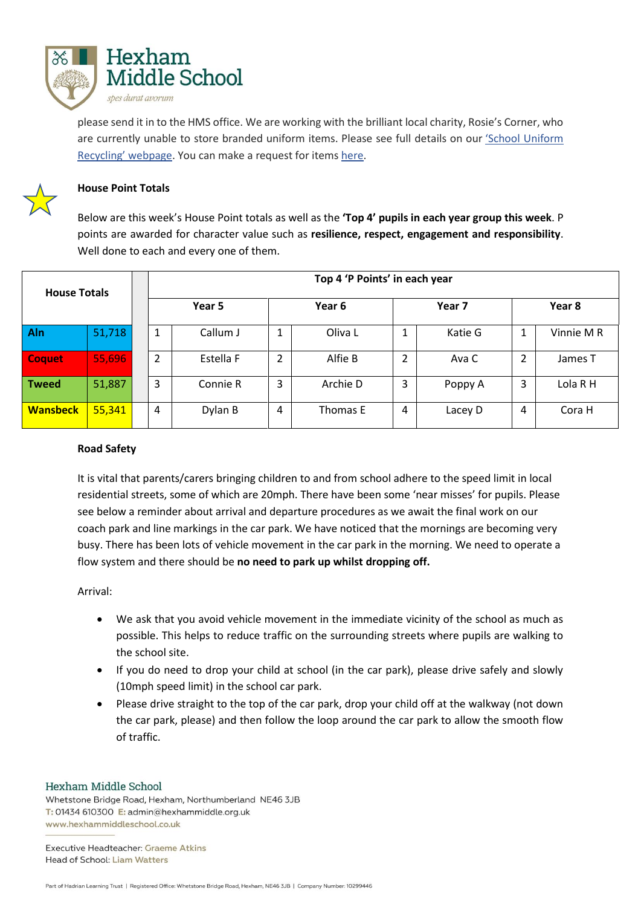

please send it in to the HMS office. We are working with the brilliant local charity, Rosie's Corner, who are currently unable to store branded uniform items. Please see full details on our 'School [Uniform](https://www.hexhammiddleschool.co.uk/index.php/school-uniform-recycling/) [Recycling'](https://www.hexhammiddleschool.co.uk/index.php/school-uniform-recycling/) webpage. You can make a request for items [here.](https://forms.office.com/Pages/ResponsePage.aspx?id=Pqq52TK10kaJyDTvBd7G5AoP0bay7ORCnOdQQBjq1aNUMFQ4TVg3WjFYUTZMOVRCSDZNSVlFU1pYSi4u)



## **House Point Totals**

Below are this week's House Point totals as well as the **'Top 4' pupils in each year group this week**. P points are awarded for character value such as **resilience, respect, engagement and responsibility**. Well done to each and every one of them.

| <b>House Totals</b> |        | Top 4 'P Points' in each year |           |        |          |        |         |        |            |
|---------------------|--------|-------------------------------|-----------|--------|----------|--------|---------|--------|------------|
|                     |        | Year 5                        |           | Year 6 |          | Year 7 |         | Year 8 |            |
| Aln                 | 51,718 | 1                             | Callum J  | 1      | Oliva L  | J.     | Katie G |        | Vinnie M R |
| <b>Coquet</b>       | 55,696 | 2                             | Estella F | 2      | Alfie B  | 2      | Ava C   | 2      | James T    |
| <b>Tweed</b>        | 51,887 | 3                             | Connie R  | 3      | Archie D | 3      | Poppy A | 3      | Lola R H   |
| <b>Wansbeck</b>     | 55,341 | 4                             | Dylan B   | 4      | Thomas E | 4      | Lacey D | 4      | Cora H     |

## **Road Safety**

It is vital that parents/carers bringing children to and from school adhere to the speed limit in local residential streets, some of which are 20mph. There have been some 'near misses' for pupils. Please see below a reminder about arrival and departure procedures as we await the final work on our coach park and line markings in the car park. We have noticed that the mornings are becoming very busy. There has been lots of vehicle movement in the car park in the morning. We need to operate a flow system and there should be **no need to park up whilst dropping off.**

Arrival:

- We ask that you avoid vehicle movement in the immediate vicinity of the school as much as possible. This helps to reduce traffic on the surrounding streets where pupils are walking to the school site.
- If you do need to drop your child at school (in the car park), please drive safely and slowly (10mph speed limit) in the school car park.
- Please drive straight to the top of the car park, drop your child off at the walkway (not down the car park, please) and then follow the loop around the car park to allow the smooth flow of traffic.

## Hexham Middle School

Whetstone Bridge Road, Hexham, Northumberland NE46 3JB T: 01434 610300 E: admin@hexhammiddle.org.uk www.hexhammiddleschool.co.uk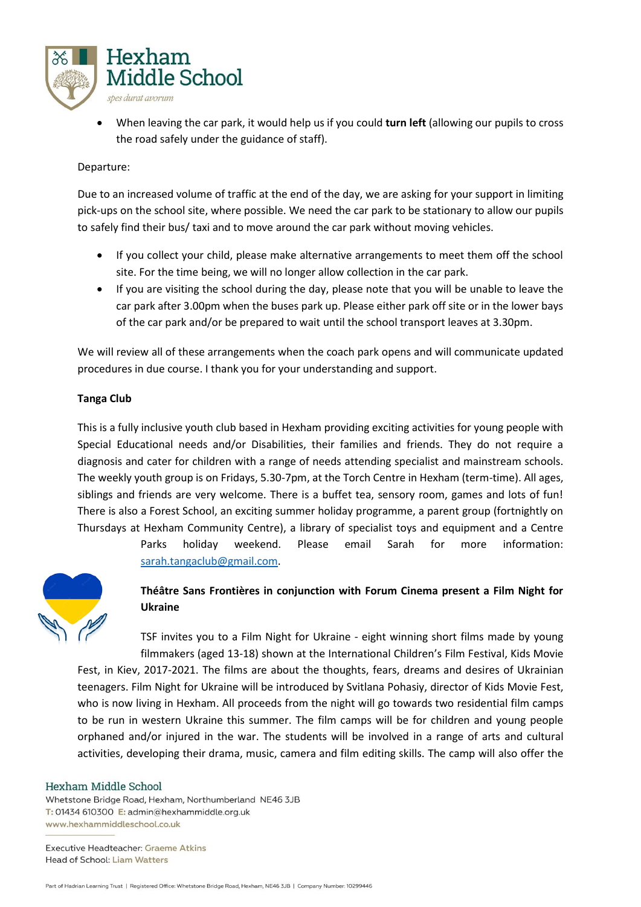

• When leaving the car park, it would help us if you could **turn left** (allowing our pupils to cross the road safely under the guidance of staff).

## Departure:

Due to an increased volume of traffic at the end of the day, we are asking for your support in limiting pick-ups on the school site, where possible. We need the car park to be stationary to allow our pupils to safely find their bus/ taxi and to move around the car park without moving vehicles.

- If you collect your child, please make alternative arrangements to meet them off the school site. For the time being, we will no longer allow collection in the car park.
- If you are visiting the school during the day, please note that you will be unable to leave the car park after 3.00pm when the buses park up. Please either park off site or in the lower bays of the car park and/or be prepared to wait until the school transport leaves at 3.30pm.

We will review all of these arrangements when the coach park opens and will communicate updated procedures in due course. I thank you for your understanding and support.

## **Tanga Club**

This is a fully inclusive youth club based in Hexham providing exciting activities for young people with Special Educational needs and/or Disabilities, their families and friends. They do not require a diagnosis and cater for children with a range of needs attending specialist and mainstream schools. The weekly youth group is on Fridays, 5.30-7pm, at the Torch Centre in Hexham (term-time). All ages, siblings and friends are very welcome. There is a buffet tea, sensory room, games and lots of fun! There is also a Forest School, an exciting summer holiday programme, a parent group (fortnightly on Thursdays at Hexham Community Centre), a library of specialist toys and equipment and a Centre

> Parks holiday weekend. Please email Sarah for more information: [sarah.tangaclub@gmail.com.](mailto:sarah.tangaclub@gmail.com)



# **Théâtre Sans Frontières in conjunction with Forum Cinema present a Film Night for Ukraine**

TSF invites you to a Film Night for Ukraine - eight winning short films made by young filmmakers (aged 13-18) shown at the International Children's Film Festival, Kids Movie Fest, in Kiev, 2017-2021. The films are about the thoughts, fears, dreams and desires of Ukrainian teenagers. Film Night for Ukraine will be introduced by Svitlana Pohasiy, director of Kids Movie Fest, who is now living in Hexham. All proceeds from the night will go towards two residential film camps to be run in western Ukraine this summer. The film camps will be for children and young people orphaned and/or injured in the war. The students will be involved in a range of arts and cultural activities, developing their drama, music, camera and film editing skills. The camp will also offer the

## Hexham Middle School

Whetstone Bridge Road, Hexham, Northumberland NE46 3JB T: 01434 610300 E: admin@hexhammiddle.org.uk www.hexhammiddleschool.co.uk